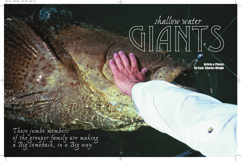*These jumbo members of the grouper family are making a Big comeback, in a Big way.*



Article & Photos By Capt. Charles Wright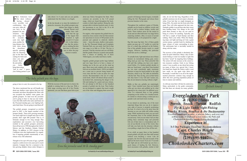gunnels will damage internal organs, eventually killing the fish. Photograph and release these precious beauties in the water.

Throughout the southwest region of Florida, goliaths can be found on offshore wrecks and reefs as well as inshore bridges, trestles and docks. These inshore areas are the easiest to locate and can often hold some very large fish in surprising numbers, often, in excess of several hundred pounds, so be prepared for a fight!

Big fish mean big baits. Few of these gentle giants can pass up a 14" mullet or a jack the size of a small dog anchored on the bottom. One of the goliaths favorite meals is a small stingray. However, handling this particular hook bait can be a challenge.

To actually hook, fight and release one of these bruisers on recreational fishing gear, everything must go your way. These powerful fish will pull like nothing you have ever experienced before. If a hooked goliath decides to take you 'back home', your done! Once hooked up, you must consistently apply maximum pressure to keep his head pointed in the right direction, which is up. The odds are definitely with the fish. They are big, your on their home turf, they know it very well and I assure you, they do not intend on leaving without a fight!

Bulky as they are, goliaths are surprisingly agile. I have watched more than one hooked cobia get run down and gobbled up by what appeared to be a barn door. On different occasions I've witnessed three or four goliaths competing on the surface for a hooked snook. It's similar to a bream eating a cricket just on a grander scale and much more exciting

If you intend on anchoring, one of the most important things that you can do to improve your odds of success is properly positioning the boat. It is best to be as far away from the structure as you can while still within casting range. While anchored up wind, you can exert the maximum force in the needed direction out and away. I kid you not when I tell you that pulling these extremely large and powerful fish out of their lairs is a tremendous task. If you set up directly on top of the wreck, they will take you back into the structure without even pulling a single foot of line off the reel.

As with any issue there will also be controversy. Many, particularly in the guide community, For which any issue there win also be connoversy.<br>
Many, particularly in the guide community,<br>
feel that there are already too many goliaths.<br> *Goliath himself.* 







Funchilar the dock without<br>
the dock without<br>
the aboard<br>
every possible rod ew fishermen leave  $\left\{\n \begin{array}{ccc}\n \text{the dock without} \\
 \text{having} & \text{aboad}\n \end{array}\n\right.$ every possible rod combination they can carry. After all, you have to be prepared for any situation. You need a plug rod for accurate casts into tight areas, another for long distance ballistic shots along the shorelines, specific spinning rods for throwing jigs on the flats and casting live baits and since you purchased those fly-rod outfits, you better bring them along "just in case". I guess your fishing partner is just

> If on a drift, an angry three or four hundred pound goliath will pull your flats skiff around without even breaking a sweat. Like all groupers, the first few feet and seconds of the fight are the most crucial. If you are 15 seconds into fight and are still hooked up you have a good chance of landing the fish. However, most encounters with goliaths, similar to bull

rides, do not last that long. Regardless of the goliath's enormous size do not expect a dramatic strike. Even bait that we might designate as being XXL, fits easily into the front end of this giant. They will often approach the bait, nonchalantly gobble it up and then take their sweet time heading home. Few things in the wild push them around, so they are not used to being in a hurry for anything. Typically, you will feel a couple of hard thumps and then nothing. That's your strike. When the thumping stops, reel tight and hang on! Like a giant suction pump, a goliath feeds by inhaling the large volume of water surrounding its prey. The unfortunate bait is inevitably sucked in along with the water.

The recovery of the goliath is absolutely fantastic for sport fishermen. Many a day of slow snook fishing or water too muddy to sight fish has been "saved" by targeting these bulldogs. The action will only increase as the conservation measures continue. Early in my fishing career, I was as guilty as any about harvesting too many of these very special fish. I know first hand how fragile the fishery really is and how easily we can again wipe them out. Personally, I would like to see all of the implemented protection continue long enough to allow this slow growing population plenty of time to mature and stabilize.

going to have to carry his arsenal in his lap.

The above mentioned line up will handle just about any shallow water species that you will encounter anywhere throughout the State with one exception the shallow water giants, the goliath groupers. To land even the juveniles you're going to have to step up your tackle. Leave the little stuff in the racks and break out the 50 pound standup gear, your fighting belt, and a back brace. You are going to need them all!

The goliath grouper, recognized as jewfish prior to 2001, is the largest member of the grouper family. These slow growing monsters can reach eight feet in length and close to 800 pounds, that's right 800 pounds! That is, if fortunate enough to live long enough. Past exploitation and excessive over harvesting resulted in the goliath groupers protection from all harvest in 1990 throughout the Gulf of Mexico and the Southern Atlantic Federal Waters. In addition, in 1993 closures in the Caribbean were also implemented. So, regardless if targeting goliaths intentionally or not, release every fish unharmed.

Thought to live up to 40 years of age, a goliath requires a solid seven to ten years just to reach maturity. Compare that for a moment to the fast growing dolphin whose entire lifespan is

only about 2 to 4 years and you can quickly understand why this fishery is so fragile.

> In the last decade or so since the institution of protective measures, the goliath groupers populations have begun to slowly rebound. Recent creel

studies have indicated that the age of the largest fish sampled is right around 12-13 years old. A clear indication that the protection is working but also that time is still necessary to allow the population to mature.

With the excesses of the past now in check, the goliath is coming back in a big way. With a wide range covering most all of the Florida peninsula, you can find these great fish in just



about any fishery throughout the State. Most common are juveniles in the 5-25 pound range, which are found throughout the backcountry in fairly high numbers. Being the only grouper able to tolerate brackish water, it's also not uncommon to see fish in the 10 to 60

pound range taken in tidal rivers.

For anglers, what separates the goliath from its numerous close cousins is the fact that monster size specimens in excess of 300 pounds can be pursued and captured in relatively shallow water — hence the name, shallow water giants. In the Ten Thousand Islands and Everglades National Park you can easily find fish in that size range in as little as 10 feet. The key is structure. Find the structure and you will likely find the goliath. However, to pursue and actually have a chance of landing one of these Volkswagens, you really need heavy tackle.

Gigantic goliath grouper prefer large habitats and very large food so to have a chance of looking one in the eye, get out the stand up gear. Short stout rods coupled with two speed reels are an excellent choice. 100 lb. test leaders are a must just to prevent being busted off every time and this is also no place for snap swivels. Recommended is the use of a large circle hook, which will almost always assure a lip hooked fish, minimizing the danger to the fish and making for a quick and easy release. Do not attempt to lift three to four hundred pounds of goliath into the boat. Their bodies are not designed to support that much weight out of the water and dragging them across the

## *This baby goliath pins the boga.*

*Even the juveniles need 50 lb. standup gear!*

**44** SOUTH FLORIDA SPORT FISHING / Summer 2003 Get Hooked Up @ www.SouthFloridaSportFishing.com